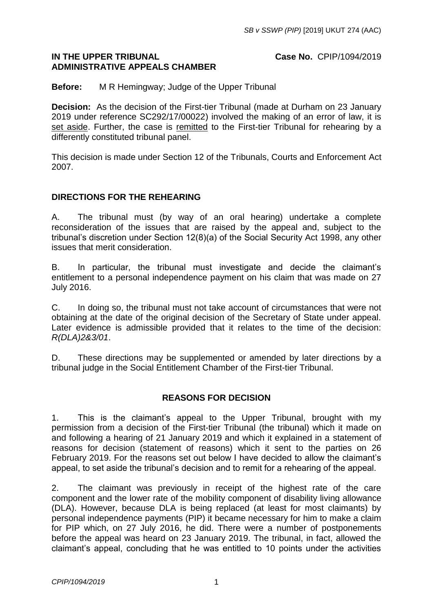## **IN THE UPPER TRIBUNAL Case No.** CPIP/1094/2019 **ADMINISTRATIVE APPEALS CHAMBER**

**Before:** M R Hemingway; Judge of the Upper Tribunal

**Decision:** As the decision of the First-tier Tribunal (made at Durham on 23 January 2019 under reference SC292/17/00022) involved the making of an error of law, it is set aside. Further, the case is remitted to the First-tier Tribunal for rehearing by a differently constituted tribunal panel.

This decision is made under Section 12 of the Tribunals, Courts and Enforcement Act 2007.

## **DIRECTIONS FOR THE REHEARING**

A. The tribunal must (by way of an oral hearing) undertake a complete reconsideration of the issues that are raised by the appeal and, subject to the tribunal's discretion under Section 12(8)(a) of the Social Security Act 1998, any other issues that merit consideration.

B. In particular, the tribunal must investigate and decide the claimant's entitlement to a personal independence payment on his claim that was made on 27 July 2016.

C. In doing so, the tribunal must not take account of circumstances that were not obtaining at the date of the original decision of the Secretary of State under appeal. Later evidence is admissible provided that it relates to the time of the decision: *R(DLA)2&3/01*.

D. These directions may be supplemented or amended by later directions by a tribunal judge in the Social Entitlement Chamber of the First-tier Tribunal.

## **REASONS FOR DECISION**

1. This is the claimant's appeal to the Upper Tribunal, brought with my permission from a decision of the First-tier Tribunal (the tribunal) which it made on and following a hearing of 21 January 2019 and which it explained in a statement of reasons for decision (statement of reasons) which it sent to the parties on 26 February 2019. For the reasons set out below I have decided to allow the claimant's appeal, to set aside the tribunal's decision and to remit for a rehearing of the appeal.

2. The claimant was previously in receipt of the highest rate of the care component and the lower rate of the mobility component of disability living allowance (DLA). However, because DLA is being replaced (at least for most claimants) by personal independence payments (PIP) it became necessary for him to make a claim for PIP which, on 27 July 2016, he did. There were a number of postponements before the appeal was heard on 23 January 2019. The tribunal, in fact, allowed the claimant's appeal, concluding that he was entitled to 10 points under the activities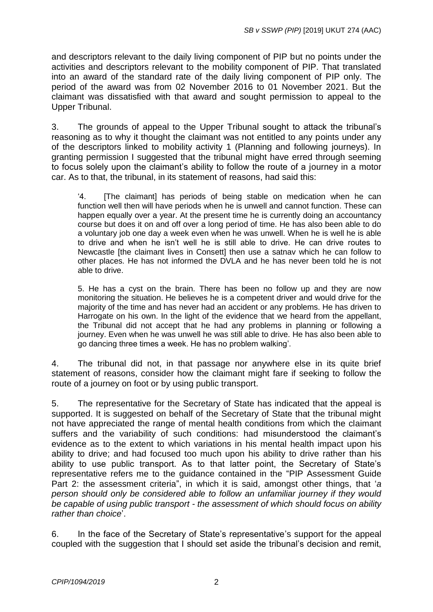and descriptors relevant to the daily living component of PIP but no points under the activities and descriptors relevant to the mobility component of PIP. That translated into an award of the standard rate of the daily living component of PIP only. The period of the award was from 02 November 2016 to 01 November 2021. But the claimant was dissatisfied with that award and sought permission to appeal to the Upper Tribunal.

3. The grounds of appeal to the Upper Tribunal sought to attack the tribunal's reasoning as to why it thought the claimant was not entitled to any points under any of the descriptors linked to mobility activity 1 (Planning and following journeys). In granting permission I suggested that the tribunal might have erred through seeming to focus solely upon the claimant's ability to follow the route of a journey in a motor car. As to that, the tribunal, in its statement of reasons, had said this:

'4. [The claimant] has periods of being stable on medication when he can function well then will have periods when he is unwell and cannot function. These can happen equally over a year. At the present time he is currently doing an accountancy course but does it on and off over a long period of time. He has also been able to do a voluntary job one day a week even when he was unwell. When he is well he is able to drive and when he isn't well he is still able to drive. He can drive routes to Newcastle [the claimant lives in Consett] then use a satnav which he can follow to other places. He has not informed the DVLA and he has never been told he is not able to drive.

5. He has a cyst on the brain. There has been no follow up and they are now monitoring the situation. He believes he is a competent driver and would drive for the majority of the time and has never had an accident or any problems. He has driven to Harrogate on his own. In the light of the evidence that we heard from the appellant, the Tribunal did not accept that he had any problems in planning or following a journey. Even when he was unwell he was still able to drive. He has also been able to go dancing three times a week. He has no problem walking'.

4. The tribunal did not, in that passage nor anywhere else in its quite brief statement of reasons, consider how the claimant might fare if seeking to follow the route of a journey on foot or by using public transport.

5. The representative for the Secretary of State has indicated that the appeal is supported. It is suggested on behalf of the Secretary of State that the tribunal might not have appreciated the range of mental health conditions from which the claimant suffers and the variability of such conditions: had misunderstood the claimant's evidence as to the extent to which variations in his mental health impact upon his ability to drive; and had focused too much upon his ability to drive rather than his ability to use public transport. As to that latter point, the Secretary of State's representative refers me to the guidance contained in the "PIP Assessment Guide Part 2: the assessment criteria", in which it is said, amongst other things, that '*a person should only be considered able to follow an unfamiliar journey if they would be capable of using public transport - the assessment of which should focus on ability rather than choice*'.

6. In the face of the Secretary of State's representative's support for the appeal coupled with the suggestion that I should set aside the tribunal's decision and remit,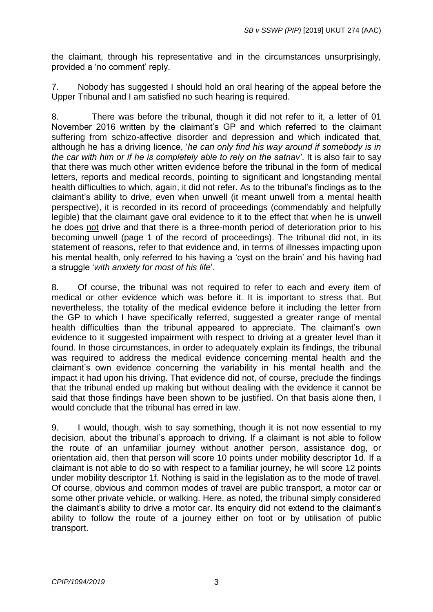the claimant, through his representative and in the circumstances unsurprisingly, provided a 'no comment' reply.

7. Nobody has suggested I should hold an oral hearing of the appeal before the Upper Tribunal and I am satisfied no such hearing is required.

8. There was before the tribunal, though it did not refer to it, a letter of 01 November 2016 written by the claimant's GP and which referred to the claimant suffering from schizo-affective disorder and depression and which indicated that, although he has a driving licence, '*he can only find his way around if somebody is in the car with him or if he is completely able to rely on the satnav'*. It is also fair to say that there was much other written evidence before the tribunal in the form of medical letters, reports and medical records, pointing to significant and longstanding mental health difficulties to which, again, it did not refer. As to the tribunal's findings as to the claimant's ability to drive, even when unwell (it meant unwell from a mental health perspective), it is recorded in its record of proceedings (commendably and helpfully legible) that the claimant gave oral evidence to it to the effect that when he is unwell he does not drive and that there is a three-month period of deterioration prior to his becoming unwell (page 1 of the record of proceedings). The tribunal did not, in its statement of reasons, refer to that evidence and, in terms of illnesses impacting upon his mental health, only referred to his having a 'cyst on the brain' and his having had a struggle '*with anxiety for most of his life*'.

8. Of course, the tribunal was not required to refer to each and every item of medical or other evidence which was before it. It is important to stress that. But nevertheless, the totality of the medical evidence before it including the letter from the GP to which I have specifically referred, suggested a greater range of mental health difficulties than the tribunal appeared to appreciate. The claimant's own evidence to it suggested impairment with respect to driving at a greater level than it found. In those circumstances, in order to adequately explain its findings, the tribunal was required to address the medical evidence concerning mental health and the claimant's own evidence concerning the variability in his mental health and the impact it had upon his driving. That evidence did not, of course, preclude the findings that the tribunal ended up making but without dealing with the evidence it cannot be said that those findings have been shown to be justified. On that basis alone then, I would conclude that the tribunal has erred in law.

9. I would, though, wish to say something, though it is not now essential to my decision, about the tribunal's approach to driving. If a claimant is not able to follow the route of an unfamiliar journey without another person, assistance dog, or orientation aid, then that person will score 10 points under mobility descriptor 1d. If a claimant is not able to do so with respect to a familiar journey, he will score 12 points under mobility descriptor 1f. Nothing is said in the legislation as to the mode of travel. Of course, obvious and common modes of travel are public transport, a motor car or some other private vehicle, or walking. Here, as noted, the tribunal simply considered the claimant's ability to drive a motor car. Its enquiry did not extend to the claimant's ability to follow the route of a journey either on foot or by utilisation of public transport.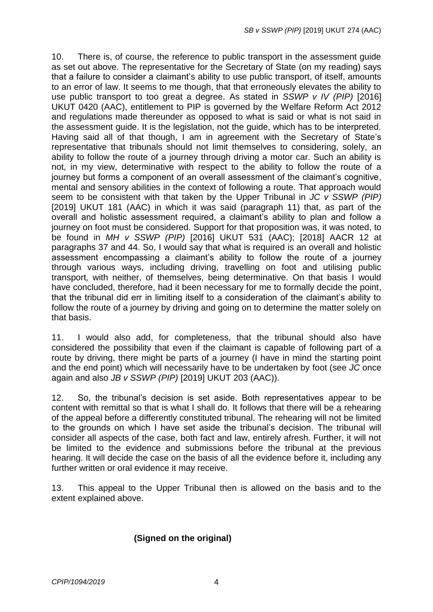10. There is, of course, the reference to public transport in the assessment guide as set out above. The representative for the Secretary of State (on my reading) says that a failure to consider a claimant's ability to use public transport, of itself, amounts to an error of law. It seems to me though, that that erroneously elevates the ability to use public transport to too great a degree. As stated in *SSWP v IV (PIP)* [2016] UKUT 0420 (AAC), entitlement to PIP is governed by the Welfare Reform Act 2012 and regulations made thereunder as opposed to what is said or what is not said in the assessment guide. It is the legislation, not the guide, which has to be interpreted. Having said all of that though, I am in agreement with the Secretary of State's representative that tribunals should not limit themselves to considering, solely, an ability to follow the route of a journey through driving a motor car. Such an ability is not, in my view, determinative with respect to the ability to follow the route of a journey but forms a component of an overall assessment of the claimant's cognitive, mental and sensory abilities in the context of following a route. That approach would seem to be consistent with that taken by the Upper Tribunal in *JC v SSWP (PIP)* [2019] UKUT 181 (AAC) in which it was said (paragraph 11) that, as part of the overall and holistic assessment required, a claimant's ability to plan and follow a journey on foot must be considered. Support for that proposition was, it was noted, to be found in *MH v SSWP (PIP)* [2016] UKUT 531 (AAC); [2018] AACR 12 at paragraphs 37 and 44. So, I would say that what is required is an overall and holistic assessment encompassing a claimant's ability to follow the route of a journey through various ways, including driving, travelling on foot and utilising public transport, with neither, of themselves, being determinative. On that basis I would have concluded, therefore, had it been necessary for me to formally decide the point, that the tribunal did err in limiting itself to a consideration of the claimant's ability to follow the route of a journey by driving and going on to determine the matter solely on that basis.

11. I would also add, for completeness, that the tribunal should also have considered the possibility that even if the claimant is capable of following part of a route by driving, there might be parts of a journey (I have in mind the starting point and the end point) which will necessarily have to be undertaken by foot (see *JC* once again and also *JB v SSWP (PIP)* [2019] UKUT 203 (AAC)).

12. So, the tribunal's decision is set aside. Both representatives appear to be content with remittal so that is what I shall do. It follows that there will be a rehearing of the appeal before a differently constituted tribunal. The rehearing will not be limited to the grounds on which I have set aside the tribunal's decision. The tribunal will consider all aspects of the case, both fact and law, entirely afresh. Further, it will not be limited to the evidence and submissions before the tribunal at the previous hearing. It will decide the case on the basis of all the evidence before it, including any further written or oral evidence it may receive.

13. This appeal to the Upper Tribunal then is allowed on the basis and to the extent explained above.

## **(Signed on the original)**